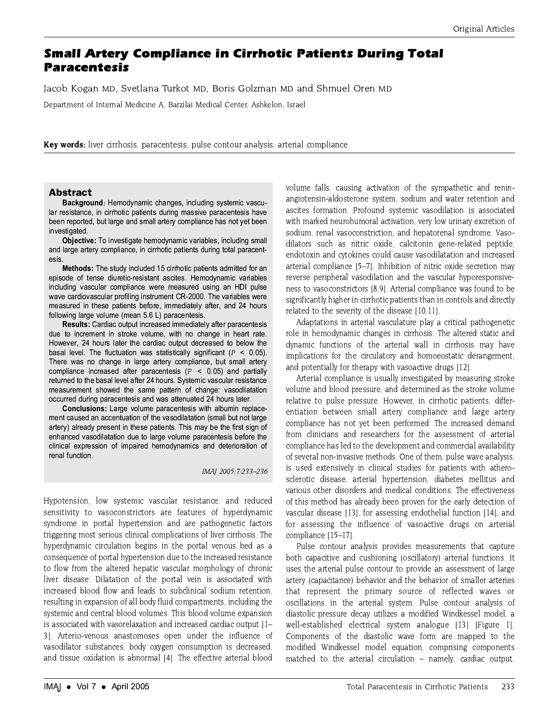# **Small Artery Compliance in Cirrhotic Patients During Total Paracentesis**

Jacob Kogan MD, Svetlana Turkot MD, Boris Golzman MD and Shmuel Oren MD

Department of Internal Medicine A, Barzilai Medical Center, Ashkelon, Israel

Key words: liver cirrhosis, paracentesis, pulse contour analysis, arterial compliance

# **Abstract**

Background: Hemodynamic changes, including systemic vascular resistance, in cirrhotic patients during massive paracentesis have been reported, but large and small artery compliance has not yet been investigated.

Objective: To investigate hemodynamic variables, including small and large artery compliance, in cirrhotic patients during total paracentesis

Methods: The study included 15 cirrhotic patients admitted for an episode of tense diuretic-resistant ascites. Hemodynamic variables including vascular compliance were measured using an HDI pulse wave cardiovascular profiling instrument CR-2000. The variables were measured in these patients before, immediately after, and 24 hours following large volume (mean 5.6 L) paracentesis.

Results: Cardiac output increased immediately after paracentesis due to increment in stroke volume, with no change in heart rate. However, 24 hours later the cardiac output decreased to below the basal level. The fluctuation was statistically significant ( $P < 0.05$ ). There was no change in large artery compliance, but small artery compliance increased after paracentesis ( $P < 0.05$ ) and partially returned to the basal level after 24 hours. Systemic vascular resistance measurement showed the same pattern of change: vasodilatation occurred during paracentesis and was attenuated 24 hours later.

Conclusions: Large volume paracentesis with albumin replacement caused an accentuation of the vasodilatation (small but not large artery) already present in these patients. This may be the first sign of enhanced vasodilatation due to large volume paracentesis before the clinical expression of impaired hemodynamics and deterioration of renal function.

IMAJ 2005; 7:233-236

Hypotension, low systemic vascular resistance, and reduced sensitivity to vasoconstrictors are features of hyperdynamic syndrome in portal hypertension and are pathogenetic factors triggering most serious clinical complications of liver cirrhosis. The hyperdynamic circulation begins in the portal venous bed as a consequence of portal hypertension due to the increased resistance to flow from the altered hepatic vascular morphology of chronic liver disease. Dilatation of the portal vein is associated with increased blood flow and leads to subclinical sodium retention. resulting in expansion of all body fluid compartments, including the systemic and central blood volumes. This blood volume expansion is associated with vasorelaxation and increased cardiac output [1-3]. Arterio-venous anastomoses open under the influence of vasodilator substances, body oxygen consumption is decreased, and tissue oxidation is abnormal [4]. The effective arterial blood volume falls, causing activation of the sympathetic and reninangiotensin-aldosterone system, sodium and water retention and ascites formation. Profound systemic vasodilation is associated with marked neurohumoral activation, very low urinary excretion of sodium, renal vasoconstriction, and hepatorenal syndrome. Vasodilators such as nitric oxide, calcitonin gene-related peptide, endotoxin and cytokines could cause vasodilatation and increased arterial compliance 15-71. Inhibition of nitric oxide secretion may reverse peripheral vasodilation and the vascular hyporesponsiveness to vasoconstrictors [8,9]. Arterial compliance was found to be significantly higher in cirrhotic patients than in controls and directly related to the severity of the disease [10,11].

Adaptations in arterial vasculature play a critical pathogenetic role in hemodynamic changes in cirrhosis. The altered static and dynamic functions of the arterial wall in cirrhosis may have implications for the circulatory and homoeostatic derangement, and potentially for therapy with vasoactive drugs [12].

Arterial compliance is usually investigated by measuring stroke volume and blood pressure, and determined as the stroke volume relative to pulse pressure. However, in cirrhotic patients, differentiation between small artery compliance and large artery compliance has not yet been performed. The increased demand from clinicians and researchers for the assessment of arterial compliance has led to the development and commercial availability of several non-invasive methods. One of them, pulse wave analysis, is used extensively in clinical studies for patients with atherosclerotic disease, arterial hypertension, diabetes mellitus and various other disorders and medical conditions. The effectiveness of this method has already been proven for the early detection of vascular disease [13], for assessing endothelial function [14], and for assessing the influence of vasoactive drugs on arterial compliance [15-17].

Pulse contour analysis provides measurements that capture both capacitive and cushioning (oscillatory) arterial functions. It uses the arterial pulse contour to provide an assessment of large artery (capacitance) behavior and the behavior of smaller arteries that represent the primary source of reflected waves or oscillations in the arterial system. Pulse contour analysis of diastolic pressure decay utilizes a modified Windkessel model, a well-established electrical system analogue [13] [Figure 1]. Components of the diastolic wave form are mapped to the modified Windkessel model equation, comprising components matched to the arterial circulation - namely, cardiac output,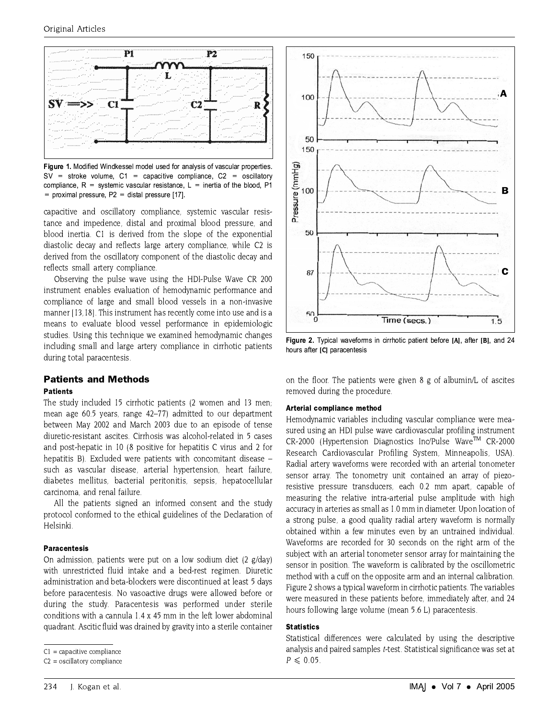

Figure 1. Modified Windkessel model used for analysis of vascular properties.  $SV =$  stroke volume,  $C1 =$  capacitive compliance,  $C2 =$  oscillatory compliance,  $R =$  systemic vascular resistance,  $L =$  inertia of the blood, P1 = proximal pressure,  $P2$  = distal pressure [17].

capacitive and oscillatory compliance, systemic vascular resistance and impedence, distal and proximal blood pressure, and blood inertia. C1 is derived from the slope of the exponential diastolic decay and reflects large artery compliance, while C2 is derived from the oscillatory component of the diastolic decay and reflects small artery compliance.

Observing the pulse wave using the HDI-Pulse Wave CR 200 instrument enables evaluation of hemodynamic performance and compliance of large and small blood vessels in a non-invasive manner [13,18]. This instrument has recently come into use and is a means to evaluate blood vessel performance in epidemiologic studies. Using this technique we examined hemodynamic changes including small and large artery compliance in cirrhotic patients during total paracentesis.

# **Patients and Methods**

#### **Patients**

The study included 15 cirrhotic patients (2 women and 13 men; mean age 60.5 years, range 42–77) admitted to our department between May 2002 and March 2003 due to an episode of tense diuretic-resistant ascites. Cirrhosis was alcohol-related in 5 cases and post-hepatic in 10 (8 positive for hepatitis C virus and 2 for hepatitis B). Excluded were patients with concomitant disease such as vascular disease, arterial hypertension, heart failure, diabetes mellitus, bacterial peritonitis, sepsis, hepatocellular carcinoma, and renal failure.

All the patients signed an informed consent and the study protocol conformed to the ethical guidelines of the Declaration of Helsinki.

### **Paracentesis**

On admission, patients were put on a low sodium diet (2 g/day) with unrestricted fluid intake and a bed-rest regimen. Diuretic administration and beta-blockers were discontinued at least 5 days before paracentesis. No vasoactive drugs were allowed before or during the study. Paracentesis was performed under sterile conditions with a cannula 1.4 x 45 mm in the left lower abdominal quadrant. Ascitic fluid was drained by gravity into a sterile container



Figure 2. Typical waveforms in cirrhotic patient before [A], after [B], and 24 hours after ICI paracentesis

on the floor. The patients were given 8 g of albumin/L of ascites removed during the procedure.

#### Arterial compliance method

Hemodynamic variables including vascular compliance were measured using an HDI pulse wave cardiovascular profiling instrument CR-2000 (Hypertension Diagnostics Inc/Pulse Wave™ CR-2000 Research Cardiovascular Profiling System, Minneapolis, USA). Radial artery waveforms were recorded with an arterial tonometer sensor array. The tonometry unit contained an array of piezoresistive pressure transducers, each 0.2 mm apart, capable of measuring the relative intra-arterial pulse amplitude with high accuracy in arteries as small as 1.0 mm in diameter. Upon location of a strong pulse, a good quality radial artery waveform is normally obtained within a few minutes even by an untrained individual. Waveforms are recorded for 30 seconds on the right arm of the subject with an arterial tonometer sensor array for maintaining the sensor in position. The waveform is calibrated by the oscillometric method with a cuff on the opposite arm and an internal calibration. Figure 2 shows a typical waveform in cirrhotic patients. The variables were measured in these patients before, immediately after, and 24 hours following large volume (mean 5.6 L) paracentesis.

### **Statistics**

Statistical differences were calculated by using the descriptive analysis and paired samples t-test. Statistical significance was set at  $P \leqslant 0.05$ .

 $Cl =$  capacitive compliance

 $C2 =$  oscillatory compliance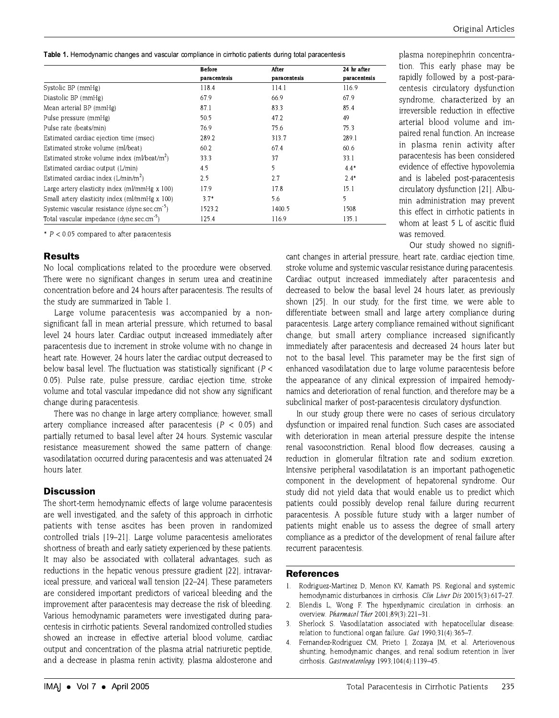Table 1. Hemodynamic changes and vascular compliance in cirrhotic patients during total paracentesis

|                                                           | <b>Before</b><br>paracentesis | After<br>paracentesis | 24 hr after<br>paracentesis |
|-----------------------------------------------------------|-------------------------------|-----------------------|-----------------------------|
|                                                           |                               |                       |                             |
| Systolic BP (mmHg)                                        | 118.4                         | 114.1                 | 116.9                       |
| Diastolic BP (mmHg)                                       | 67.9                          | 66.9                  | 67.9                        |
| Mean arterial BP (mmHg)                                   | 87.1                          | 83.3                  | 85.4                        |
| Pulse pressure (mmHg)                                     | 50.5                          | 47.2                  | 49                          |
| Pulse rate (beats/min)                                    | 76.9                          | 75.6                  | 75.3                        |
| Estimated cardiac ejection time (msec)                    | 289.2                         | 313.7                 | 289.1                       |
| Estimated stroke volume (ml/beat)                         | 60.2                          | 67.4                  | 60.6                        |
| Estimated stroke volume index (ml/beat/m <sup>2</sup> )   | 33.3                          | 37                    | 33.1                        |
| Estimated cardiac output (L/min)                          | 4.5                           | 5                     | $4.4*$                      |
| Estimated cardiac index $(L/min/m2)$                      | 2.5                           | 2.7                   | $2.4*$                      |
| Large artery elasticity index (ml/mmHg x 100)             | 17.9                          | 17.8                  | 15.1                        |
| Small artery elasticity index (ml/mmHg x 100)             | $3.7*$                        | 5.6                   | 5                           |
| Systemic vascular resistance (dyne.sec.cm <sup>-5</sup> ) | 1523.2                        | 1400.5                | 1508                        |
| Total vascular impedance (dyne.sec.cm <sup>-5</sup> )     | 125.4                         | 116.9                 | 135.1                       |

\*  $P < 0.05$  compared to after paracentesis

### **Results**

No local complications related to the procedure were observed. There were no significant changes in serum urea and creatinine concentration before and 24 hours after paracentesis. The results of the study are summarized in Table 1.

Large volume paracentesis was accompanied by a nonsignificant fall in mean arterial pressure, which returned to basal level 24 hours later. Cardiac output increased immediately after paracentesis due to increment in stroke volume with no change in heart rate. However, 24 hours later the cardiac output decreased to below basal level. The fluctuation was statistically significant ( $P <$ 0.05). Pulse rate, pulse pressure, cardiac ejection time, stroke volume and total vascular impedance did not show any significant change during paracentesis.

There was no change in large artery compliance: however, small artery compliance increased after paracentesis ( $P < 0.05$ ) and partially returned to basal level after 24 hours. Systemic vascular resistance measurement showed the same pattern of change: vasodilatation occurred during paracentesis and was attenuated 24 hours later.

# **Discussion**

The short-term hemodynamic effects of large volume paracentesis are well investigated, and the safety of this approach in cirrhotic patients with tense ascites has been proven in randomized controlled trials [19-21]. Large volume paracentesis ameliorates shortness of breath and early satiety experienced by these patients. It may also be associated with collateral advantages, such as reductions in the hepatic venous pressure gradient [22], intravariceal pressure, and variceal wall tension [22-24]. These parameters are considered important predictors of variceal bleeding and the improvement after paracentesis may decrease the risk of bleeding. Various hemodynamic parameters were investigated during paracentesis in cirrhotic patients. Several randomized controlled studies showed an increase in effective arterial blood volume, cardiac output and concentration of the plasma atrial natriuretic peptide, and a decrease in plasma renin activity, plasma aldosterone and plasma norepinephrin concentration. This early phase may be rapidly followed by a post-paracentesis circulatory dysfunction syndrome, characterized by an irreversible reduction in effective arterial blood volume and impaired renal function. An increase in plasma renin activity after paracentesis has been considered evidence of effective hypovolemia and is labeled post-paracentesis circulatory dysfunction [21]. Albumin administration may prevent this effect in cirrhotic patients in whom at least 5 L of ascitic fluid was removed.

Our study showed no signifi-

cant changes in arterial pressure, heart rate, cardiac ejection time, stroke volume and systemic vascular resistance during paracentesis. Cardiac output increased immediately after paracentesis and decreased to below the basal level 24 hours later, as previously shown 1251. In our study, for the first time, we were able to differentiate between small and large artery compliance during paracentesis. Large artery compliance remained without significant change, but small artery compliance increased significantly immediately after paracentesis and decreased 24 hours later but not to the basal level. This parameter may be the first sign of enhanced vasodilatation due to large volume paracentesis before the appearance of any clinical expression of impaired hemodynamics and deterioration of renal function, and therefore may be a subclinical marker of post-paracentesis circulatory dysfunction.

In our study group there were no cases of serious circulatory dysfunction or impaired renal function. Such cases are associated with deterioration in mean arterial pressure despite the intense renal vasoconstriction. Renal blood flow decreases, causing a reduction in glomerular filtration rate and sodium excretion. Intensive peripheral vasodilatation is an important pathogenetic component in the development of hepatorenal syndrome. Our study did not yield data that would enable us to predict which patients could possibly develop renal failure during recurrent paracentesis. A possible future study with a larger number of patients might enable us to assess the degree of small artery compliance as a predictor of the development of renal failure after recurrent paracentesis.

### **References**

- $\mathbf{L}$ Rodriguez-Martinez D, Menon KV, Kamath PS. Regional and systemic hemodynamic disturbances in cirrhosis. Clin Liver Dis 20015(3):617-27.
- $\mathcal{L}$ Blendis L, Wong F. The hyperdynamic circulation in cirrhosis: an overview. Pharmacol Ther 2001;89(3):221-31.
- Sherlock S. Vasodilatation associated with hepatocellular disease: -3. relation to functional organ failure.  $Gut$  1990;31(4):365-7.
- Fernandez-Rodriguez CM, Prieto J, Zozaya JM, et al. Arteriovenous  $\overline{4}$ shunting, hemodynamic changes, and renal sodium retention in liver cirrhosis. Gastroenterology 1993;104(4):1139-45.